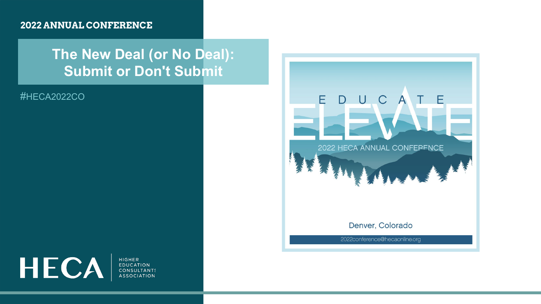#### **2022 ANNUAL CONFERENCE**

#### **The New Deal (or No Deal): Submit or Don't Submit**

#HECA2022CO



**HIGHER EDUCATION CONSULTANTS ASSOCIATION** 

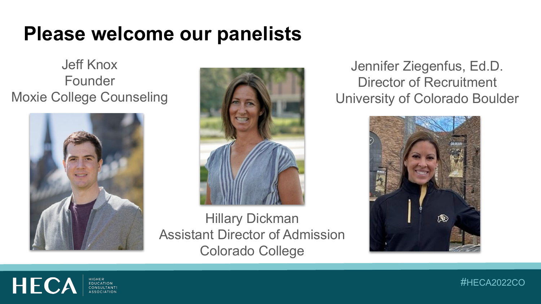#### **Please welcome our panelists**

Jeff Knox Founder Moxie College Counseling





Hillary Dickman Assistant Director of Admission Colorado College

Jennifer Ziegenfus, Ed.D. Director of Recruitment University of Colorado Boulder





#HECA2022CO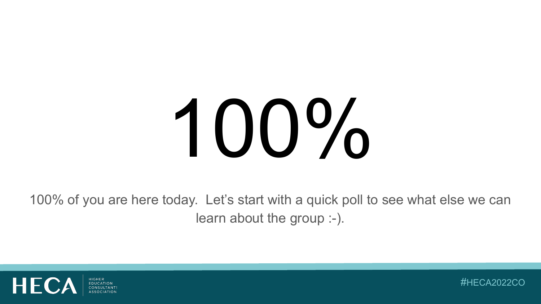# 100%

100% of you are here today. Let's start with a quick poll to see what else we can learn about the group :-).



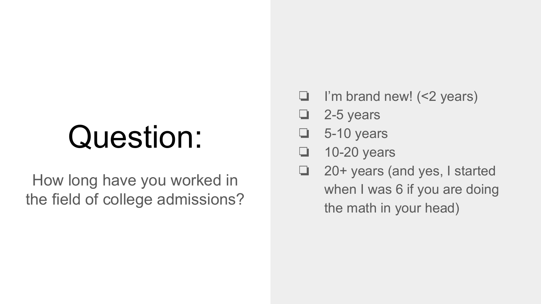# Question:

How long have you worked in the field of college admissions?

- ❏ I'm brand new! (<2 years)
- ❏ 2-5 years
- $\Box$  5-10 years
- ❏ 10-20 years
- ❏ 20+ years (and yes, I started when I was 6 if you are doing the math in your head)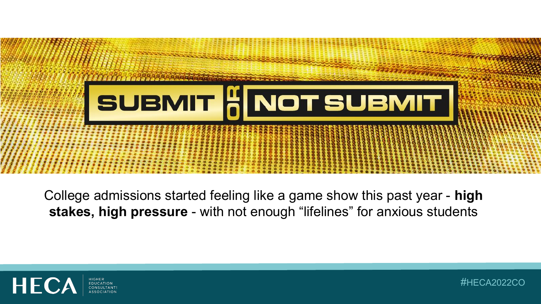

College admissions started feeling like a game show this past year - **high stakes, high pressure** - with not enough "lifelines" for anxious students



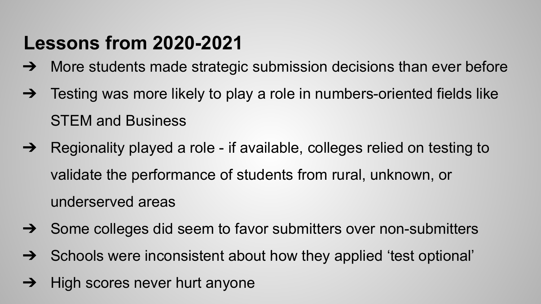#### **Lessons from 2020-2021**

- → More students made strategic submission decisions than ever before
- ➔ Testing was more likely to play a role in numbers-oriented fields like STEM and Business
- ➔ Regionality played a role if available, colleges relied on testing to validate the performance of students from rural, unknown, or underserved areas
- ➔ Some colleges did seem to favor submitters over non-submitters
- ➔ Schools were inconsistent about how they applied 'test optional'
- $\rightarrow$  High scores never hurt anyone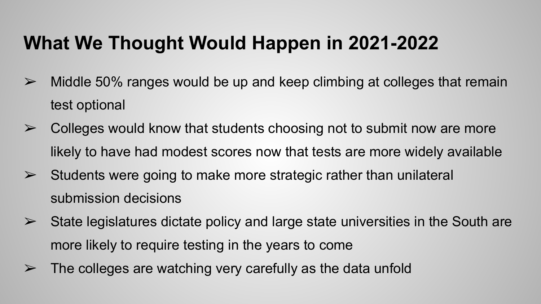#### **What We Thought Would Happen in 2021-2022**

- $\geq$  Middle 50% ranges would be up and keep climbing at colleges that remain test optional
- $\triangleright$  Colleges would know that students choosing not to submit now are more likely to have had modest scores now that tests are more widely available
- $\triangleright$  Students were going to make more strategic rather than unilateral submission decisions
- $\triangleright$  State legislatures dictate policy and large state universities in the South are more likely to require testing in the years to come
- $\triangleright$  The colleges are watching very carefully as the data unfold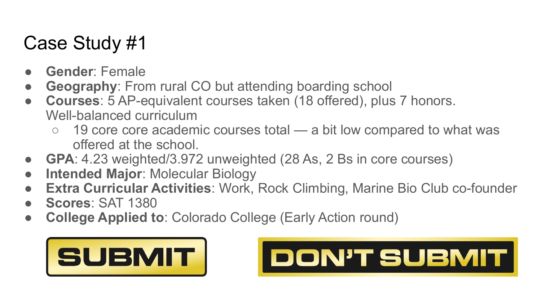- Gender: Female
- **Geography:** From rural CO but attending boarding school
- **Courses**: 5 AP-equivalent courses taken (18 offered), plus 7 honors. Well-balanced curriculum
	- 19 core core academic courses total a bit low compared to what was offered at the school.
- **GPA**: 4.23 weighted/3.972 unweighted (28 As, 2 Bs in core courses)
- **Intended Major: Molecular Biology**
- **Extra Curricular Activities: Work, Rock Climbing, Marine Bio Club co-founder**
- **Scores**: SAT 1380
- **College Applied to**: Colorado College (Early Action round)



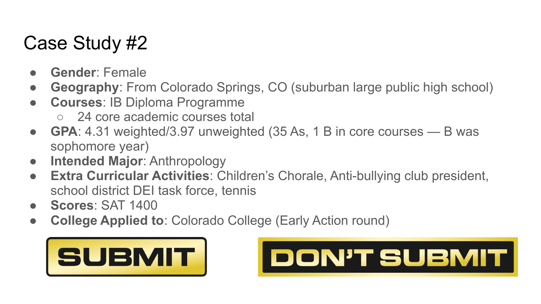- **Gender**: Female
- **Geography**: From Colorado Springs, CO (suburban large public high school)
- **Courses**: IB Diploma Programme
	- 24 core academic courses total
- **GPA**: 4.31 weighted/3.97 unweighted (35 As, 1 B in core courses B was sophomore year)
- **Intended Major**: Anthropology
- **Extra Curricular Activities**: Children's Chorale, Anti-bullying club president, school district DEI task force, tennis
- **Scores**: SAT 1400
- **College Applied to**: Colorado College (Early Action round)



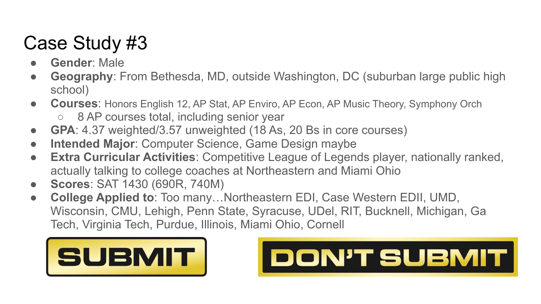- **Gender: Male**
- **Geography**: From Bethesda, MD, outside Washington, DC (suburban large public high school)
- **Courses**: Honors English 12, AP Stat, AP Enviro, AP Econ, AP Music Theory, Symphony Orch
	- 8 AP courses total, including senior year
- **GPA**: 4.37 weighted/3.57 unweighted (18 As, 20 Bs in core courses)
- **Intended Major**: Computer Science, Game Design maybe
- **Extra Curricular Activities**: Competitive League of Legends player, nationally ranked, actually talking to college coaches at Northeastern and Miami Ohio
- **Scores**: SAT 1430 (690R, 740M)
- **College Applied to**: Too many…Northeastern EDI, Case Western EDII, UMD, Wisconsin, CMU, Lehigh, Penn State, Syracuse, UDel, RIT, Bucknell, Michigan, Ga Tech, Virginia Tech, Purdue, Illinois, Miami Ohio, Cornell



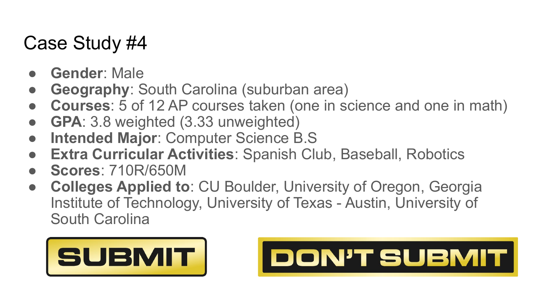- Gender: Male
- **Geography: South Carolina (suburban area)**
- **Courses**: 5 of 12 AP courses taken (one in science and one in math)
- **GPA**: 3.8 weighted (3.33 unweighted)
- **Intended Major: Computer Science B.S**
- **Extra Curricular Activities: Spanish Club, Baseball, Robotics**
- **Scores**: 710R/650M
- **Colleges Applied to: CU Boulder, University of Oregon, Georgia** Institute of Technology, University of Texas - Austin, University of South Carolina



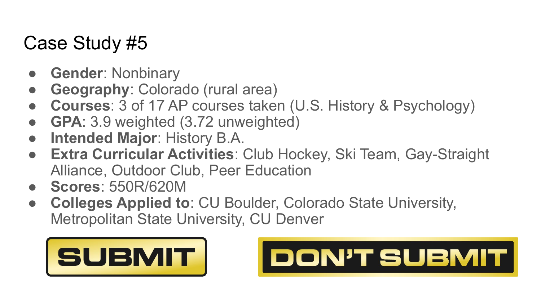- **Gender: Nonbinary**
- **Geography: Colorado (rural area)**
- **Courses:** 3 of 17 AP courses taken (U.S. History & Psychology)
- **GPA**: 3.9 weighted (3.72 unweighted)
- **Intended Major: History B.A.**
- **Extra Curricular Activities**: Club Hockey, Ski Team, Gay-Straight Alliance, Outdoor Club, Peer Education
- **Scores**: 550R/620M
- **Colleges Applied to: CU Boulder, Colorado State University,** Metropolitan State University, CU Denver



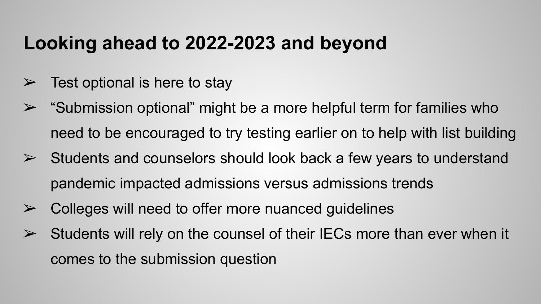#### **Looking ahead to 2022-2023 and beyond**

- $\triangleright$  Test optional is here to stay
- $\triangleright$  "Submission optional" might be a more helpful term for families who need to be encouraged to try testing earlier on to help with list building
- $\triangleright$  Students and counselors should look back a few years to understand pandemic impacted admissions versus admissions trends
- $\triangleright$  Colleges will need to offer more nuanced guidelines
- $\triangleright$  Students will rely on the counsel of their IECs more than ever when it comes to the submission question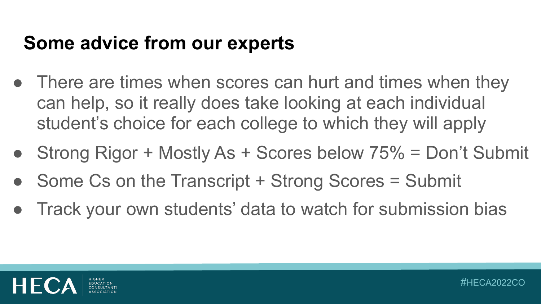#### **Some advice from our experts**

- There are times when scores can hurt and times when they can help, so it really does take looking at each individual student's choice for each college to which they will apply
- Strong Rigor + Mostly As + Scores below 75% = Don't Submit
- Some Cs on the Transcript + Strong Scores = Submit
- Track your own students' data to watch for submission bias